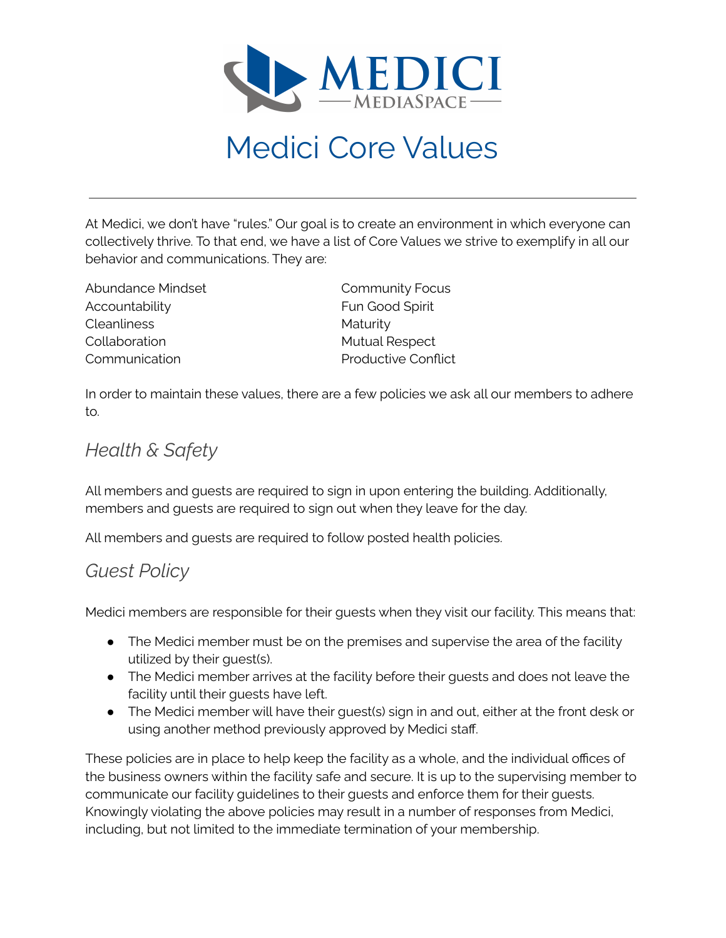

# Medici Core Values

At Medici, we don't have "rules." Our goal is to create an environment in which everyone can collectively thrive. To that end, we have a list of Core Values we strive to exemplify in all our behavior and communications. They are:

Abundance Mindset Accountability Cleanliness Collaboration Communication

Community Focus Fun Good Spirit **Maturity** Mutual Respect Productive Conflict

In order to maintain these values, there are a few policies we ask all our members to adhere to.

## *Health & Safety*

All members and guests are required to sign in upon entering the building. Additionally, members and guests are required to sign out when they leave for the day.

All members and guests are required to follow posted health policies.

### *Guest Policy*

Medici members are responsible for their guests when they visit our facility. This means that:

- The Medici member must be on the premises and supervise the area of the facility utilized by their guest(s).
- The Medici member arrives at the facility before their guests and does not leave the facility until their guests have left.
- The Medici member will have their guest(s) sign in and out, either at the front desk or using another method previously approved by Medici staff.

These policies are in place to help keep the facility as a whole, and the individual offices of the business owners within the facility safe and secure. It is up to the supervising member to communicate our facility guidelines to their guests and enforce them for their guests. Knowingly violating the above policies may result in a number of responses from Medici, including, but not limited to the immediate termination of your membership.